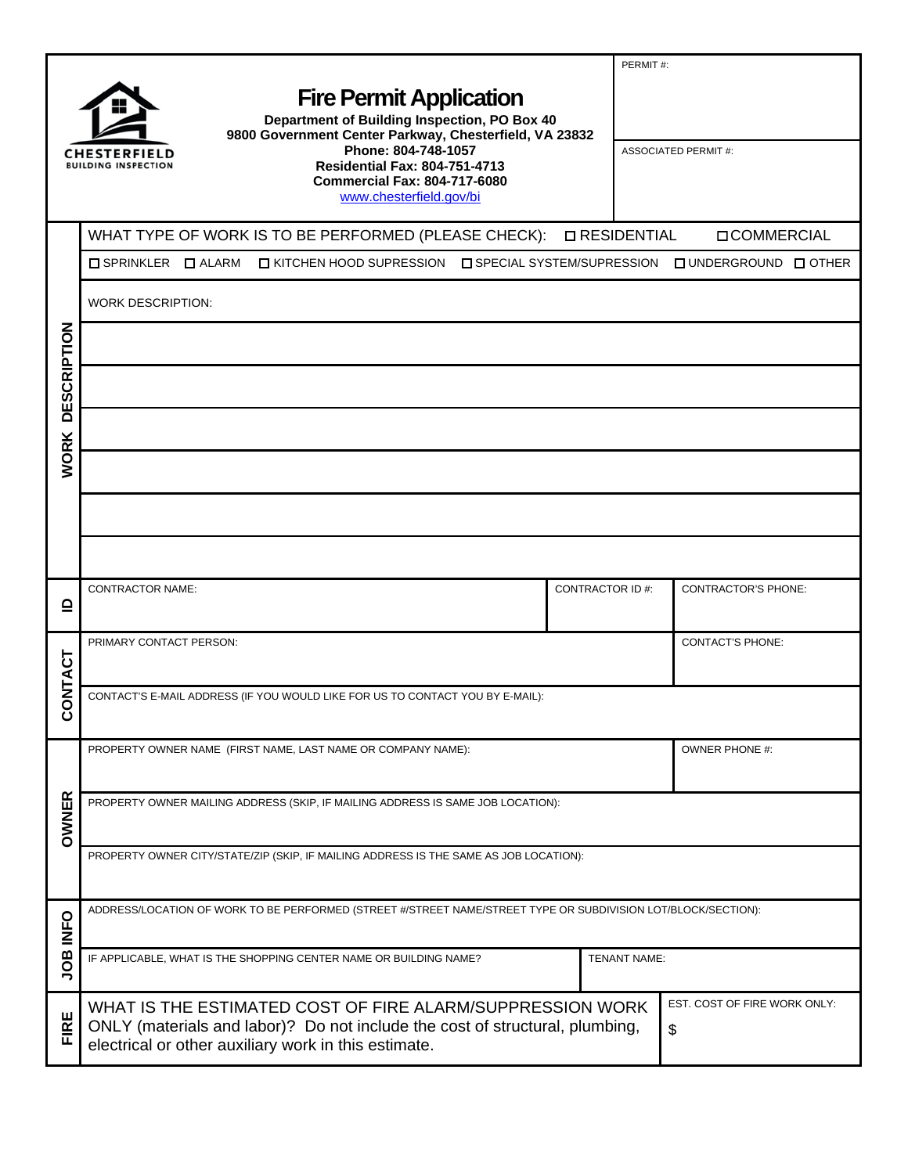|                                                                                                                                                                                                                                                                                                                         |                                                                                                                                                                                                   |                                    | PERMIT#:                    |  |  |  |
|-------------------------------------------------------------------------------------------------------------------------------------------------------------------------------------------------------------------------------------------------------------------------------------------------------------------------|---------------------------------------------------------------------------------------------------------------------------------------------------------------------------------------------------|------------------------------------|-----------------------------|--|--|--|
| <b>Fire Permit Application</b><br>Department of Building Inspection, PO Box 40<br>9800 Government Center Parkway, Chesterfield, VA 23832<br>Phone: 804-748-1057<br>CHESTERFIELD<br><b>Residential Fax: 804-751-4713</b><br><b>BUILDING INSPECTION</b><br><b>Commercial Fax: 804-717-6080</b><br>www.chesterfield.gov/bi |                                                                                                                                                                                                   |                                    | <b>ASSOCIATED PERMIT #:</b> |  |  |  |
|                                                                                                                                                                                                                                                                                                                         | WHAT TYPE OF WORK IS TO BE PERFORMED (PLEASE CHECK):   LIRESIDENTIAL                                                                                                                              |                                    | <b>OCOMMERCIAL</b>          |  |  |  |
|                                                                                                                                                                                                                                                                                                                         | □ KITCHEN HOOD SUPRESSION □ SPECIAL SYSTEM/SUPRESSION □ UNDERGROUND □ OTHER<br>$\Box$ SPRINKLER $\Box$ ALARM                                                                                      |                                    |                             |  |  |  |
|                                                                                                                                                                                                                                                                                                                         | <b>WORK DESCRIPTION:</b>                                                                                                                                                                          |                                    |                             |  |  |  |
|                                                                                                                                                                                                                                                                                                                         |                                                                                                                                                                                                   |                                    |                             |  |  |  |
| <b>DESCRIPTION</b>                                                                                                                                                                                                                                                                                                      |                                                                                                                                                                                                   |                                    |                             |  |  |  |
|                                                                                                                                                                                                                                                                                                                         |                                                                                                                                                                                                   |                                    |                             |  |  |  |
|                                                                                                                                                                                                                                                                                                                         | <b>WORK</b>                                                                                                                                                                                       |                                    |                             |  |  |  |
|                                                                                                                                                                                                                                                                                                                         |                                                                                                                                                                                                   |                                    |                             |  |  |  |
|                                                                                                                                                                                                                                                                                                                         |                                                                                                                                                                                                   |                                    |                             |  |  |  |
| ≏                                                                                                                                                                                                                                                                                                                       | <b>CONTRACTOR NAME:</b>                                                                                                                                                                           | <b>CONTRACTOR ID#:</b>             | <b>CONTRACTOR'S PHONE:</b>  |  |  |  |
|                                                                                                                                                                                                                                                                                                                         | PRIMARY CONTACT PERSON:                                                                                                                                                                           | <b>CONTACT'S PHONE:</b>            |                             |  |  |  |
| ပ                                                                                                                                                                                                                                                                                                                       | <b>ONTACT</b><br>CONTACT'S E-MAIL ADDRESS (IF YOU WOULD LIKE FOR US TO CONTACT YOU BY E-MAIL):                                                                                                    |                                    |                             |  |  |  |
|                                                                                                                                                                                                                                                                                                                         | PROPERTY OWNER NAME (FIRST NAME, LAST NAME OR COMPANY NAME):                                                                                                                                      |                                    | <b>OWNER PHONE #:</b>       |  |  |  |
| OWNER                                                                                                                                                                                                                                                                                                                   | PROPERTY OWNER MAILING ADDRESS (SKIP, IF MAILING ADDRESS IS SAME JOB LOCATION):                                                                                                                   |                                    |                             |  |  |  |
|                                                                                                                                                                                                                                                                                                                         | PROPERTY OWNER CITY/STATE/ZIP (SKIP, IF MAILING ADDRESS IS THE SAME AS JOB LOCATION):                                                                                                             |                                    |                             |  |  |  |
| <b>INFO</b>                                                                                                                                                                                                                                                                                                             | ADDRESS/LOCATION OF WORK TO BE PERFORMED (STREET #/STREET NAME/STREET TYPE OR SUBDIVISION LOT/BLOCK/SECTION):                                                                                     |                                    |                             |  |  |  |
| gor                                                                                                                                                                                                                                                                                                                     | IF APPLICABLE, WHAT IS THE SHOPPING CENTER NAME OR BUILDING NAME?                                                                                                                                 | TENANT NAME:                       |                             |  |  |  |
| ш<br>$\overline{E}$                                                                                                                                                                                                                                                                                                     | WHAT IS THE ESTIMATED COST OF FIRE ALARM/SUPPRESSION WORK<br>ONLY (materials and labor)? Do not include the cost of structural, plumbing,<br>electrical or other auxiliary work in this estimate. | EST. COST OF FIRE WORK ONLY:<br>\$ |                             |  |  |  |